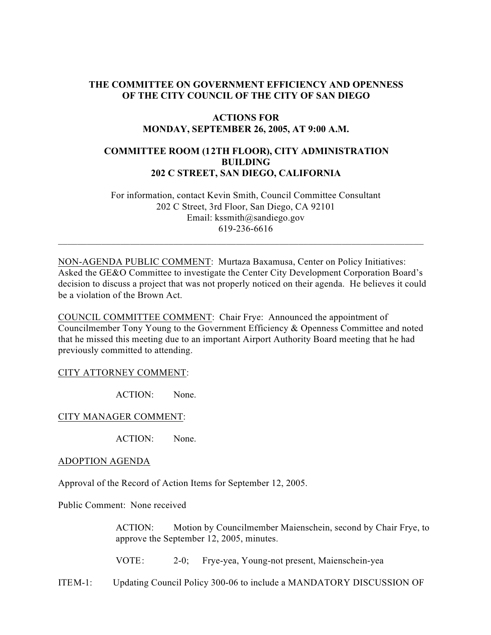# **THE COMMITTEE ON GOVERNMENT EFFICIENCY AND OPENNESS OF THE CITY COUNCIL OF THE CITY OF SAN DIEGO**

### **ACTIONS FOR MONDAY, SEPTEMBER 26, 2005, AT 9:00 A.M.**

# **COMMITTEE ROOM (12TH FLOOR), CITY ADMINISTRATION BUILDING 202 C STREET, SAN DIEGO, CALIFORNIA**

 For information, contact Kevin Smith, Council Committee Consultant 202 C Street, 3rd Floor, San Diego, CA 92101 Email: kssmith@sandiego.gov 619-236-6616

NON-AGENDA PUBLIC COMMENT: Murtaza Baxamusa, Center on Policy Initiatives: Asked the GE&O Committee to investigate the Center City Development Corporation Board's decision to discuss a project that was not properly noticed on their agenda. He believes it could be a violation of the Brown Act.

 $\_$  , and the set of the set of the set of the set of the set of the set of the set of the set of the set of the set of the set of the set of the set of the set of the set of the set of the set of the set of the set of th

COUNCIL COMMITTEE COMMENT: Chair Frye: Announced the appointment of Councilmember Tony Young to the Government Efficiency & Openness Committee and noted that he missed this meeting due to an important Airport Authority Board meeting that he had previously committed to attending.

### CITY ATTORNEY COMMENT:

ACTION: None.

CITY MANAGER COMMENT:

ACTION: None.

#### ADOPTION AGENDA

Approval of the Record of Action Items for September 12, 2005.

Public Comment: None received

ACTION: Motion by Councilmember Maienschein, second by Chair Frye, to approve the September 12, 2005, minutes.

VOTE: 2-0; Frye-yea, Young-not present, Maienschein-yea

ITEM-1: Updating Council Policy 300-06 to include a MANDATORY DISCUSSION OF